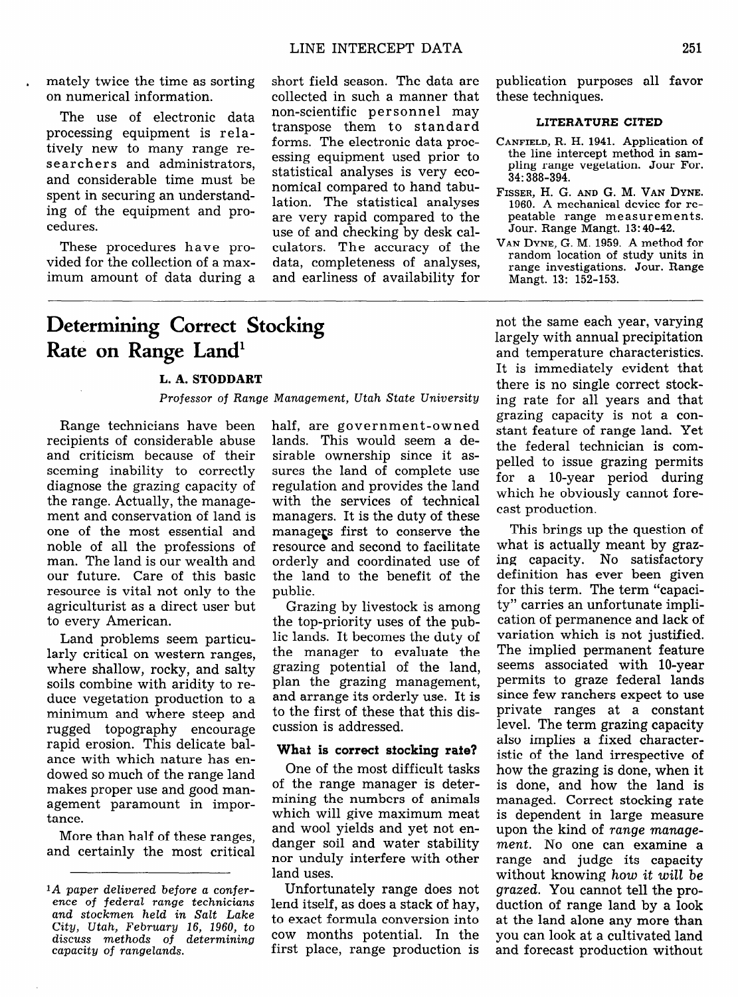# **Determining Correct Stocking Rate on Range Land1**

#### **L. A. STODDART**

*Professor of Range Management, Utah State University* 

Range technicians have been recipients of considerable abuse and criticism because of their seeming inability to correctly diagnose the grazing capacity of the range. Actually, the management and conservation of land is one of the most essential and noble of all the professions of man. The land is our wealth and our future. Care of this basic resource is vital not only to the agriculturist as a direct user but to every American.

Land problems seem particularly critical on western ranges, where shallow, rocky, and salty soils combine with aridity to reduce vegetation production to a minimum and where steep and rugged topography encourage rapid erosion. This delicate balance with which nature has endowed so much of the range land makes proper use and good management paramount in importance.

More than half of these ranges, and certainly the most critical half, are government-owned lands. This would seem a desirable ownership since it assures the land of complete use regulation and provides the land with the services of technical managers. It is the duty of these managers first to conserve the resource and second to facilitate orderly and coordinated use of the land to the benefit of the public.

Grazing by livestock is among the top-priority uses of the public lands. It becomes the duty of the manager to evaluate the grazing potential of the land, plan the grazing management, and arrange its orderly use. It is to the first of these that this discussion is addressed.

## **What is correct stocking rate?**

One of the most difficult tasks of the range manager is determining the numbers of animals which will give maximum meat and wool yields and yet not endanger soil and water stability nor unduly interfere with other land uses.

Unfortunately range does not lend itself, as does a stack of hay, to exact formula conversion into cow months potential. In the first place, range production is

not the same each year, varying largely with annual precipitation and temperature characteristics. It is immediately evident that there is no single correct stocking rate for all years and that grazing capacity is not a constant feature of range land. Yet the federal technician is compelled to issue grazing permits for a 10-year period during which he obviously cannot forecast production.

This brings up the question of what is actually meant by grazing capacity. No satisfactory definition has ever been given for this term. The term "capacity" carries an unfortunate implication of permanence and lack of variation which is not justified. The implied permanent feature seems associated with 10-year permits to graze federal lands since few ranchers expect to use private ranges at a constant level. The term grazing capacity also implies a fixed characteristic of the land irrespective of how the grazing is done, when it is done, and how the land is managed. Correct stocking rate is dependent in large measure upon the kind of range management. No one can examine a range and judge its capacity without knowing how it will be *grazed. You* cannot tell the production of range land by a look at the land alone any more than you can look at a cultivated land and forecast production without

*<sup>1</sup>A paper delivered before a conference of federal range technicians and stockmen held in Salt Lake City, Utah, February 16, 1960, to discuss methods of determining capacity of rangelands.*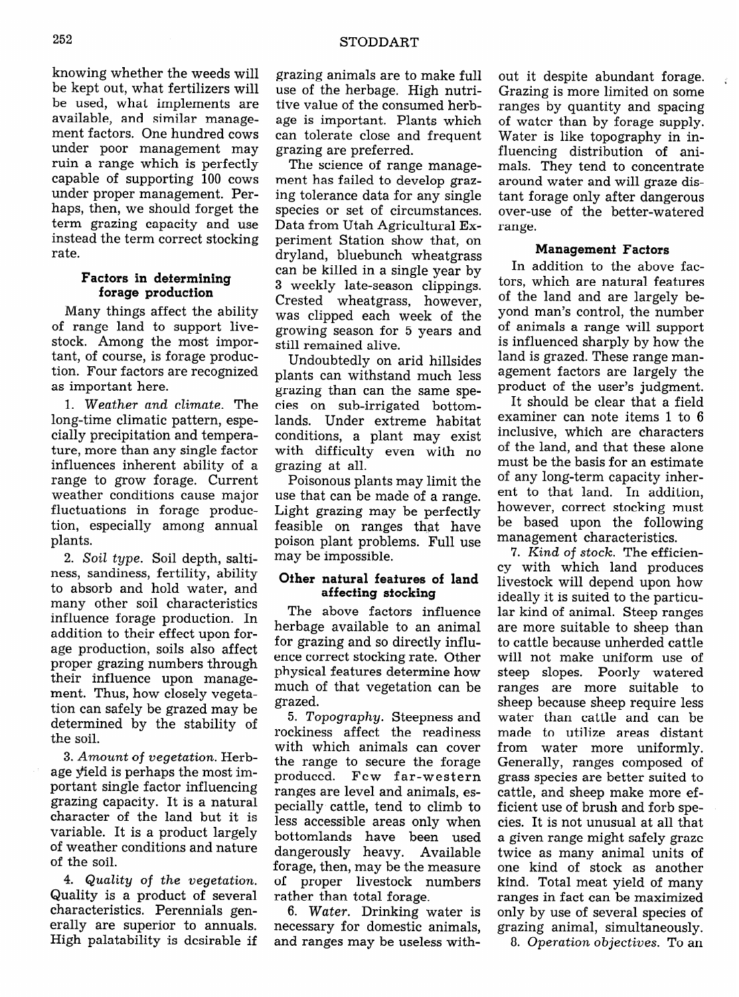knowing whether the weeds will be kept out, what fertilizers will be used, what implements are available, and similar management factors. One hundred cows under poor management may ruin a range which is perfectly capable of supporting 100 cows under proper management. Perhaps, then, we should forget the term grazing capacity and use instead the term correct stocking rate.

## **Factors in determining forage production**

Many things affect the ability of range land to support livestock. Among the most important, of course, is forage production. Four factors are recognized as important here.

1. *Weather and climate.* The long-time climatic pattern, especially precipitation and temperature, more than any single factor influences inherent ability of a range to grow forage. Current weather conditions cause major fluctuations in forage production, especially among annual plants.

2. Soil *type.* Soil depth, saltiness, sandiness, fertility, ability to absorb and hold water, and many other soil characteristics influence forage production. In addition to their effect upon forage production, soils also affect proper grazing numbers through their influence upon management. Thus, how closely vegetation can safely be grazed may be determined by the stability of the soil.

3. *Amount of vegetation.* Herbage yield is perhaps the most important single factor influencing grazing capacity. It is a natural character of the land but it is variable. It is a product largely of weather conditions and nature of the soil.

4. *Quality of the vegetation.*  Quality is a product of several characteristics. Perennials generally are superior to annuals. High palatability is desirable if grazing animals are to make full use of the herbage. High nutritive value of the consumed herbage is important. Plants which can tolerate close and frequent grazing are preferred.

The science of range management has failed to develop grazing tolerance data for any single species or set of circumstances. Data from Utah Agricultural Experiment Station show that, on dryland, bluebunch wheatgrass can be killed in a single year by 3 weekly late-season clippings. Crested wheatgrass, however, was clipped each week of the growing season for 5 years and still remained alive.

Undoubtedly on arid hillsides plants can withstand much less grazing than can the same species on sub-irrigated bottomlands. Under extreme habitat conditions, a plant may exist with difficulty even with no grazing at all.

Poisonous plants may limit the use that can be made of a range. Light grazing may be perfectly feasible on ranges that have poison plant problems. Full use may be impossible.

## **Other natural features of land af f ecf ing siocking**

The above factors influence herbage available to an animal for grazing and so directly influence correct stocking rate. Other physical features determine how much of that vegetation can be grazed.

5. *Topography.* Steepness and rockiness affect the readiness with which animals can cover the range to secure the forage produced. Few far-western ranges are level and animals, especially cattle, tend to climb to less accessible areas only when bottomlands have been used dangerously heavy. Available forage, then, may be the measure of proper livestock numbers rather than total forage.

6. *Water.* Drinking water is necessary for domestic animals, and ranges may be useless with-

out it despite abundant forage. Grazing is more limited on some ranges by quantity and spacing of water than by forage supply. Water is like topography in influencing distribution of animals. They tend to concentrate around water and will graze distant forage only after dangerous over-use of the better-watered range.

## **Management Factors**

In addition to the above factors, which are natural features of the land and are largely beyond man's control, the number of animals a range will support is influenced sharply by how the land is grazed. These range management factors are largely the product of the user's judgment.

It should be clear that a field examiner can note items 1 to 6 inclusive, which are characters of the land, and that these alone must be the basis for an estimate of any long-term capacity inherent to that land. In addition, however, correct stocking must be based upon the following management characteristics.

7. *Kind of stock.* The efficiency with which land produces livestock will depend upon how ideally it is suited to the particular kind of animal. Steep ranges are more suitable to sheep than to cattle because unherded cattle will not make uniform use of steep slopes. Poorly watered ranges are more suitable to sheep because sheep require less water than cattle and can be made to utilize areas distant from water more uniformly. Generally, ranges composed of grass species are better suited to cattle, and sheep make more efficient use of brush and forb species. It is not unusual at all that a given range might safely graze twice as many animal units of one kind of stock as another kind. Total meat yield of many ranges in fact can be maximized only by use of several species of grazing animal, simultaneously.

8. *Operation objectives.* To an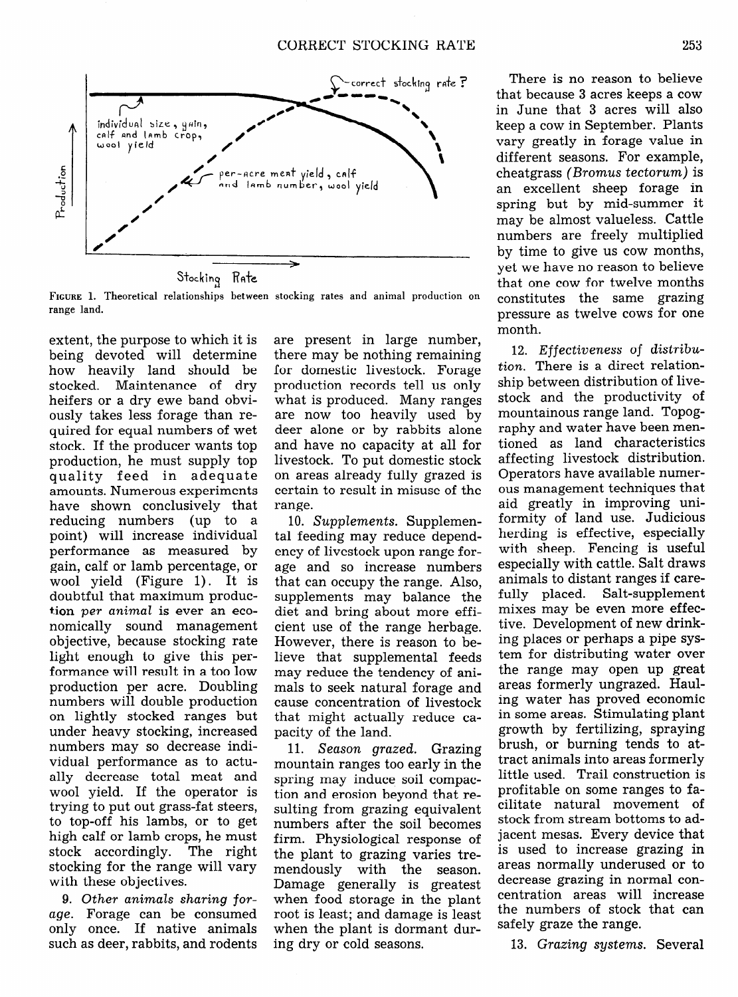

Stocking Rate

. **Theoretical relationships between stocking rates and** animal production on **range land.** 

extent, the purpose to which it is being devoted will determine how heavily land should be stocked. Maintenance of dry heifers or a dry ewe band obviously takes less forage than required for equal numbers of wet stock. If the producer wants top production, he must supply top quality feed in adequate amounts. Numerous experiments have shown conclusively that reducing numbers (up to a point) will increase individual performance as measured by gain, calf or lamb percentage, or wool yield (Figure 1). It is doubtful that maximum production per *animal* is ever an economically sound management objective, because stocking rate light enough to give this performance will result in a too low production per acre. Doubling numbers will double production on lightly stocked ranges but under heavy stocking, increased numbers may so decrease individual performance as to actually decrease total meat and wool yield. If the operator is trying to put out grass-fat steers, to top-off his lambs, or to get high calf or lamb crops, he must stock accordingly. The right stocking for the range will vary with these objectives.

9. Other *animals sharing forage.* Forage can be consumed only once. If native animals such as deer, rabbits, and rodents are present in large number, there may be nothing remaining for domestic livestock. Forage production records tell us only what is produced. Many ranges are now too heavily used by deer alone or by rabbits alone and have no capacity at all for livestock. To put domestic stock on areas already fully grazed is certain to result in misuse of the range.

10. Supplements. Supplemental feeding may reduce dependency of livestock upon range forage and so increase numbers that can occupy the range. Also, supplements may balance the diet and bring about more efficient use of the range herbage. However, there is reason to believe that supplemental feeds may reduce the tendency of animals to seek natural forage and cause concentration of livestock that might actually reduce capacity of the land.

11. Season grazed. Grazing mountain ranges too early in the spring may induce soil compaction and erosion beyond that resulting from grazing equivalent numbers after the soil becomes firm. Physiological response of the plant to grazing varies tremendously with the season. Damage generally is greatest when food storage in the plant root is least; and damage is least when the plant is dormant during dry or cold seasons.

There is no reason to believe that because 3 acres keeps a cow in June that 3 acres will also keep a cow in September. Plants vary greatly in forage value in different seasons. For example, cheatgrass *(Bromus tectorum)* is an excellent sheep forage in spring but by mid-summer it may be almost valueless. Cattle numbers are freely multiplied by time to give us cow months, yet we have no reason to believe that one cow for twelve months constitutes the same grazing pressure as twelve cows for one month.

12. *Effectiveness of distribu*tion. There is a direct relationship between distribution of livestock and the productivity of mountainous range land. Topography and water have been mentioned as land characteristics affecting livestock distribution. Operators have available numerous management techniques that aid greatly in improving uniformity of land use. Judicious herding is effective, especially with sheep. Fencing is useful especially with cattle. Salt draws animals to distant ranges if carefully placed. Salt-supplement mixes may be even more effective. Development of new drinking places or perhaps a pipe system for distributing water over the range may open up great areas formerly ungrazed. Hauling water has proved economic in some areas. Stimulating plant growth by fertilizing, spraying brush, or burning tends to attract animals into areas formerly little used. Trail construction is profitable on some ranges to facilitate natural movement of stock from stream bottoms to adjacent mesas. Every device that is used to increase grazing in areas normally underused or to decrease grazing in normal concentration areas will increase the numbers of stock that can safely graze the range.

13. *Grazing systems.* Several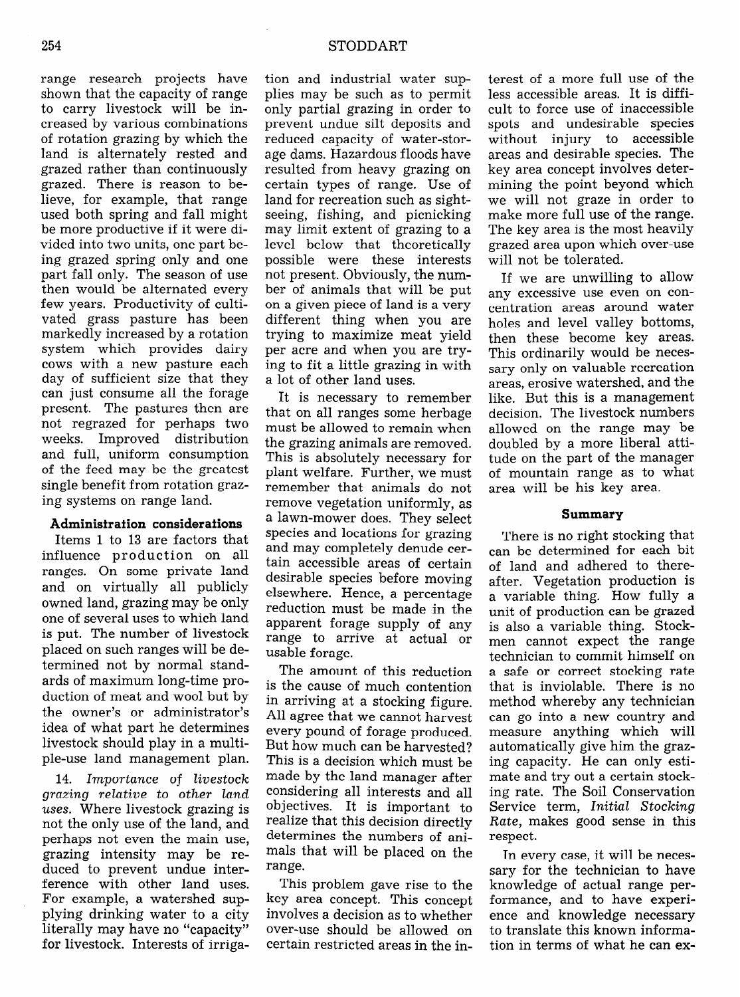range research projects have shown that the capacity of range to carry livestock will be increased by various combinations of rotation grazing by which the land is alternately rested and grazed rather than continuously grazed. There is reason to believe, for example, that range used both spring and fall might be more productive if it were divided into two units, one part being grazed spring only and one part fall only. The season of use then would be alternated every few years. Productivity of cultivated grass pasture has been markedly increased by a rotation system which provides dairy cows with a new pasture each day of sufficient size that they can just consume all the forage present. The pastures then are not regrazed for perhaps two weeks. Improved distribution and full, uniform consumption of the feed may be the greatest single benefit from rotation grazing systems on range land.

#### **Administration considerations**

Items 1 to 13 are factors that influence production on all ranges. On some private land and on virtually all publicly owned land, grazing may be only one of several uses to which land is put. The number of livestock placed on such ranges will be determined not by normal standards of maximum long-time production of meat and wool but by the owner's or administrator's idea of what part he determines livestock should play in a multiple-use land management plan.

14. Importance of livestock grazing relative to other land uses. Where livestock grazing is not the only use of the land, and perhaps not even the main use, grazing intensity may be reduced to prevent undue interference with other land uses. For example, a watershed supplying drinking water to a city literally may have no "capacity" for livestock. Interests of irrigation and industrial water SUPplies may be such as to permit only partial grazing in order to prevent undue silt deposits and reduced capacity of water-storage dams. Hazardous floods have resulted from heavy grazing on certain types of range. Use of land for recreation such as sightseeing, fishing, and picnicking may limit extent of grazing to a level below that theoretically possible were these interests not present. Obviously, the number of animals that will be put on a given piece of land is a very different thing when you are trying to maximize meat yield per acre and when you are trying to fit a little grazing in with a lot of other land uses.

It is necessary to remember that on all ranges some herbage must be allowed to remain when the grazing animals are removed. This is absolutely necessary for plant welfare. Further, we must remember that animals do not remove vegetation uniformly, as a lawn-mower does. They select species and locations for grazing and may completely denude certain accessible areas of certain desirable species before moving elsewhere. Hence, a percentage reduction must be made in the apparent forage supply of any range to arrive at actual or usable forage.

The amount of this reduction is the cause of much contention in arriving at a stocking figure. All agree that we cannot harvest every pound of forage produced. But how much can be harvested? This is a decision which must be made by the land manager after considering all interests and all objectives. It is important to realize that this decision directly determines the numbers of animals that will be placed on the range.

This problem gave rise to the key area concept. This concept involves a decision as to whether over-use should be allowed on certain restricted areas in the in-

terest of a more full use of the less accessible areas. It is difficult to force use of inaccessible spots and undesirable species without injury to accessible areas and desirable species. The key area concept involves determining the point beyond which we will not graze in order to make more full use of the range. The key area is the most heavily grazed area upon which over-use will not be tolerated.

If we are unwilling to allow any excessive use even on concentration areas around water holes and level valley bottoms, then these become key areas. This ordinarily would be necessary only on valuable recreation areas, erosive watershed, and the like. But this is a management decision. The livestock numbers allowed on the range may be doubled by a more liberal attitude on the part of the manager of mountain range as to what area will be his key area.

#### **Summary**

There is no right stocking that can be determined for each bit of land and adhered to thereafter. Vegetation production is a variable thing. How fully a unit of production can be grazed is also a variable thing. Stockmen cannot expect the range technician to commit himself on a safe or correct stocking rate that is inviolable. There is no method whereby any technician can go into a new country and measure anything which will automatically give him the grazing capacity. He can only estimate and try out a certain stocking rate. The Soil Conservation Service term, Initial Stocking Rate, makes good sense in this respect.

In every case, it will be necessary for the technician to have knowledge of actual range performance, and to have experience and knowledge necessary to translate this known information in terms of what he can ex-